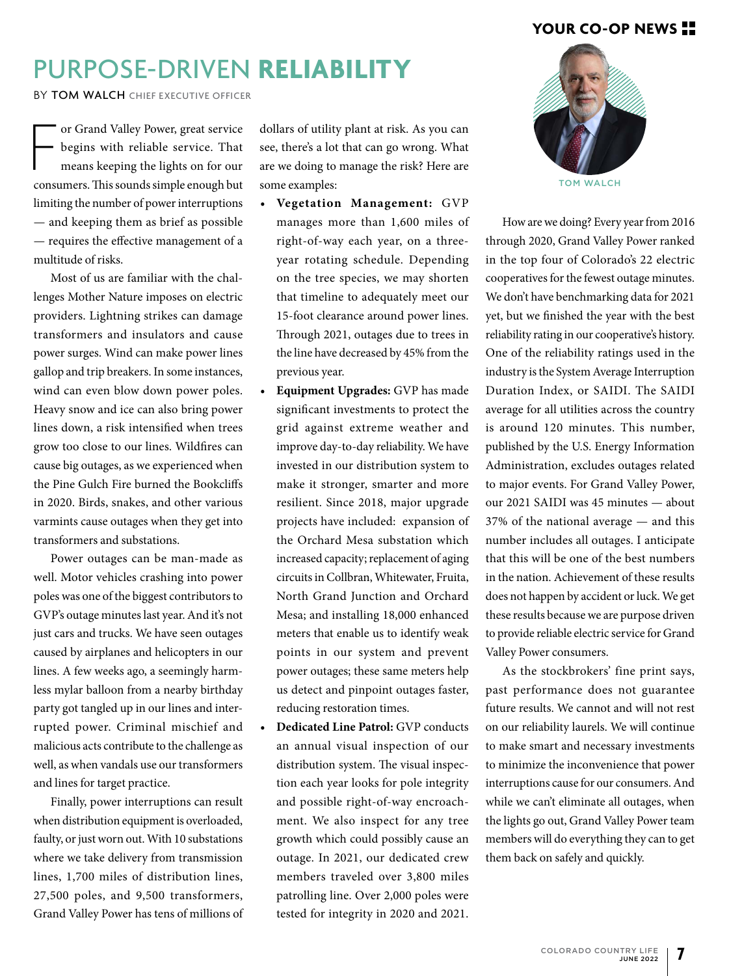#### **YOUR CO-OP NEWS**

# PURPOSE-DRIVEN **RELIABILITY**

BY TOM WALCH CHIEF EXECUTIVE OFFICER

or Grand Valley Power, great service<br>begins with reliable service. That<br>means keeping the lights on for our<br>consumers. This sounds simple enough but or Grand Valley Power, great service begins with reliable service. That means keeping the lights on for our limiting the number of power interruptions — and keeping them as brief as possible — requires the effective management of a multitude of risks.

Most of us are familiar with the challenges Mother Nature imposes on electric providers. Lightning strikes can damage transformers and insulators and cause power surges. Wind can make power lines gallop and trip breakers. In some instances, wind can even blow down power poles. Heavy snow and ice can also bring power lines down, a risk intensified when trees grow too close to our lines. Wildfires can cause big outages, as we experienced when the Pine Gulch Fire burned the Bookcliffs in 2020. Birds, snakes, and other various varmints cause outages when they get into transformers and substations.

Power outages can be man-made as well. Motor vehicles crashing into power poles was one of the biggest contributors to GVP's outage minutes last year. And it's not just cars and trucks. We have seen outages caused by airplanes and helicopters in our lines. A few weeks ago, a seemingly harmless mylar balloon from a nearby birthday party got tangled up in our lines and interrupted power. Criminal mischief and malicious acts contribute to the challenge as well, as when vandals use our transformers and lines for target practice.

Finally, power interruptions can result when distribution equipment is overloaded, faulty, or just worn out. With 10 substations where we take delivery from transmission lines, 1,700 miles of distribution lines, 27,500 poles, and 9,500 transformers, Grand Valley Power has tens of millions of

dollars of utility plant at risk. As you can see, there's a lot that can go wrong. What are we doing to manage the risk? Here are some examples:

- **• Vegetation Management:** GVP manages more than 1,600 miles of right-of-way each year, on a threeyear rotating schedule. Depending on the tree species, we may shorten that timeline to adequately meet our 15-foot clearance around power lines. Through 2021, outages due to trees in the line have decreased by 45% from the previous year.
- **• Equipment Upgrades:** GVP has made significant investments to protect the grid against extreme weather and improve day-to-day reliability. We have invested in our distribution system to make it stronger, smarter and more resilient. Since 2018, major upgrade projects have included: expansion of the Orchard Mesa substation which increased capacity; replacement of aging circuits in Collbran, Whitewater, Fruita, North Grand Junction and Orchard Mesa; and installing 18,000 enhanced meters that enable us to identify weak points in our system and prevent power outages; these same meters help us detect and pinpoint outages faster, reducing restoration times.
- **• Dedicated Line Patrol:** GVP conducts an annual visual inspection of our distribution system. The visual inspection each year looks for pole integrity and possible right-of-way encroachment. We also inspect for any tree growth which could possibly cause an outage. In 2021, our dedicated crew members traveled over 3,800 miles patrolling line. Over 2,000 poles were tested for integrity in 2020 and 2021.



How are we doing? Every year from 2016 through 2020, Grand Valley Power ranked in the top four of Colorado's 22 electric cooperatives for the fewest outage minutes. We don't have benchmarking data for 2021 yet, but we finished the year with the best reliability rating in our cooperative's history. One of the reliability ratings used in the industry is the System Average Interruption Duration Index, or SAIDI. The SAIDI average for all utilities across the country is around 120 minutes. This number, published by the U.S. Energy Information Administration, excludes outages related to major events. For Grand Valley Power, our 2021 SAIDI was 45 minutes — about 37% of the national average — and this number includes all outages. I anticipate that this will be one of the best numbers in the nation. Achievement of these results does not happen by accident or luck. We get these results because we are purpose driven to provide reliable electric service for Grand Valley Power consumers.

As the stockbrokers' fine print says, past performance does not guarantee future results. We cannot and will not rest on our reliability laurels. We will continue to make smart and necessary investments to minimize the inconvenience that power interruptions cause for our consumers. And while we can't eliminate all outages, when the lights go out, Grand Valley Power team members will do everything they can to get them back on safely and quickly.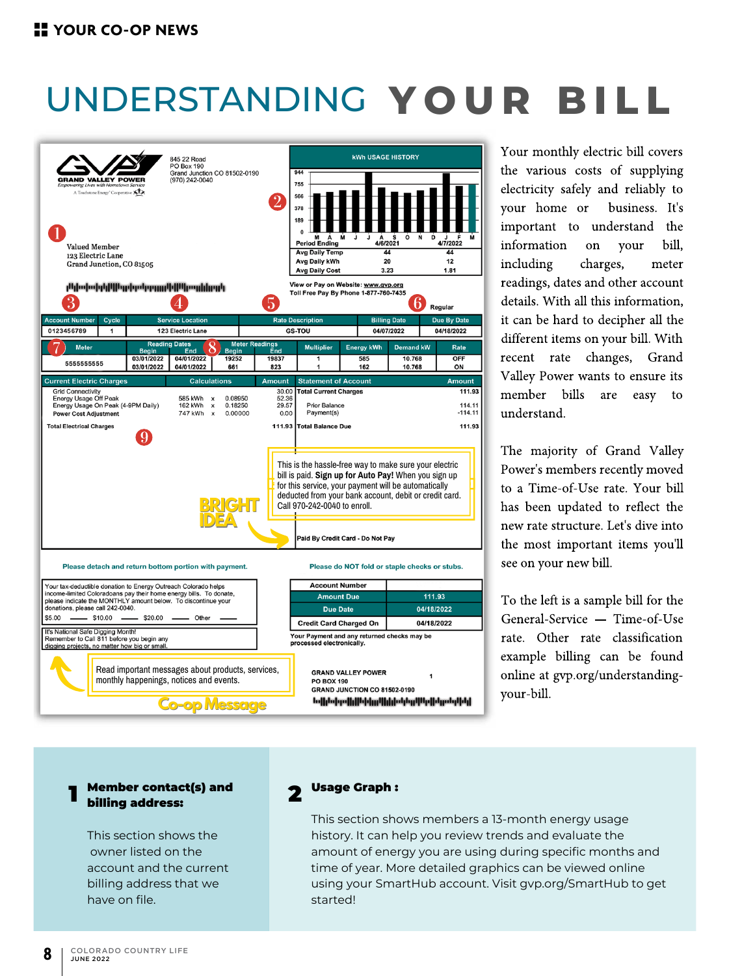# UNDERSTANDING **Y O U R B I L L**



Your monthly electric bill covers the various costs of supplying electricity safely and reliably to your home or business. It's important to understand the information on your bill, including charges, meter readings, dates and other account details. With all this information, it can be hard to decipher all the different items on your bill. With recent rate changes, Grand Valley Power wants to ensure its member bills are easy to understand.

The majority of Grand Valley Power's members recently moved to a Time-of-Use rate. Your bill has been updated to reflect the new rate structure. Let's dive into the most important items you'll see on your new bill.

To the left is a sample bill for the General-Service — Time-of-Use rate. Other rate classification example billing can be found online at gvp.org/understandingyour-bill.

#### Member contact(s) and billing address:

This section shows the owner listed on the account and the current billing address that we have on file.

#### **Usage Graph:**

This section shows members a 13-month energy usage history. It can help you review trends and evaluate the amount of energy you are using during specific months and time of year. More detailed graphics can be viewed online using your SmartHub account. Visit gvp.org/SmartHub to get started!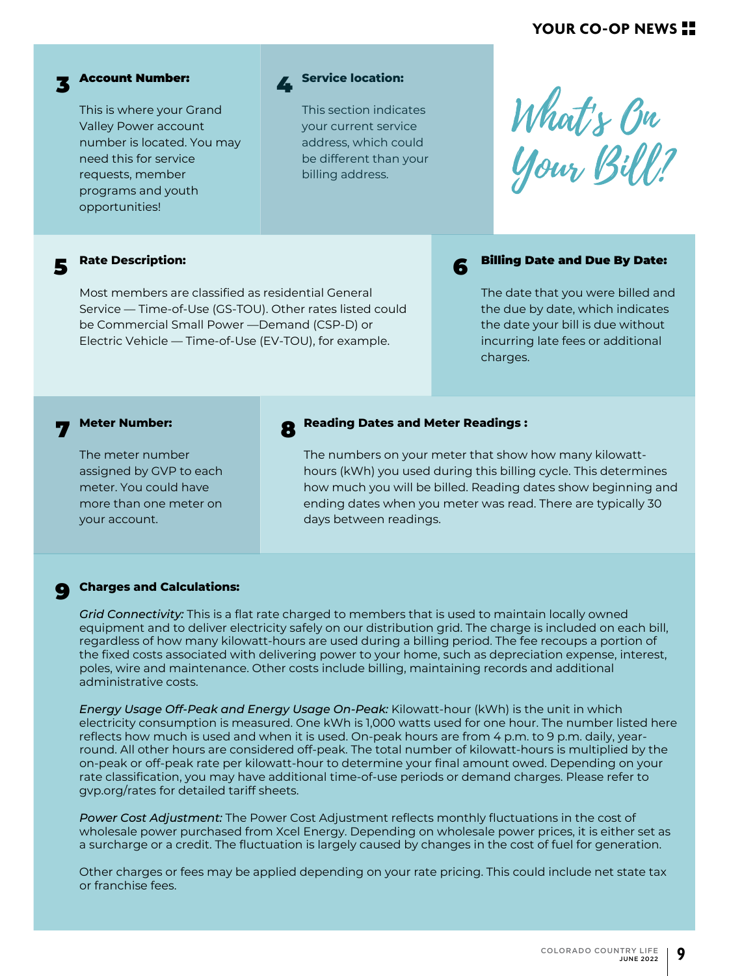#### **YOUR CO-OP NEWS**



## 3 Account Number:

This is where your Grand Valley Power account number is located. You may need this for service requests, member programs and youth opportunities!



This section indicates your current service address, which could be different than your billing address.

What's Bu Your Bill?

#### 5 **Rate Description:**

Most members are classified as residential General Service — Time-of-Use (GS-TOU). Other rates listed could be Commercial Small Power —Demand (CSP-D) or Electric Vehicle — Time-of-Use (EV-TOU), for example.

#### 6 Billing Date and Due By Date:

The date that you were billed and the due by date, which indicates the date your bill is due without incurring late fees or additional charges.

#### 7 **Meter Number:**

The meter number assigned by GVP to each meter. You could have more than one meter on your account.

#### 8 **Reading Dates and Meter Readings :**

The numbers on your meter that show how many kilowatthours (kWh) you used during this billing cycle. This determines how much you will be billed. Reading dates show beginning and ending dates when you meter was read. There are typically 30 days between readings.

#### **Charges and Calculations:**  $\bullet$

*Grid Connectivity:* This is a flat rate charged to members that is used to maintain locally owned equipment and to deliver electricity safely on our distribution grid. The charge is included on each bill, regardless of how many kilowatt-hours are used during a billing period. The fee recoups a portion of the fixed costs associated with delivering power to your home, such as depreciation expense, interest, poles, wire and maintenance. Other costs include billing, maintaining records and additional administrative costs.

*Energy Usage Off-Peak and Energy Usage On-Peak:* Kilowatt-hour (kWh) is the unit in which electricity consumption is measured. One kWh is 1,000 watts used for one hour. The number listed here reflects how much is used and when it is used. On-peak hours are from 4 p.m. to 9 p.m. daily, yearround. All other hours are considered off-peak. The total number of kilowatt-hours is multiplied by the on-peak or off-peak rate per kilowatt-hour to determine your final amount owed. Depending on your rate classification, you may have additional time-of-use periods or demand charges. Please refer to gvp.org/rates for detailed tariff sheets.

*Power Cost Adjustment:* The Power Cost Adjustment reflects monthly fluctuations in the cost of wholesale power purchased from Xcel Energy. Depending on wholesale power prices, it is either set as a surcharge or a credit. The fluctuation is largely caused by changes in the cost of fuel for generation.

Other charges or fees may be applied depending on your rate pricing. This could include net state tax or franchise fees.